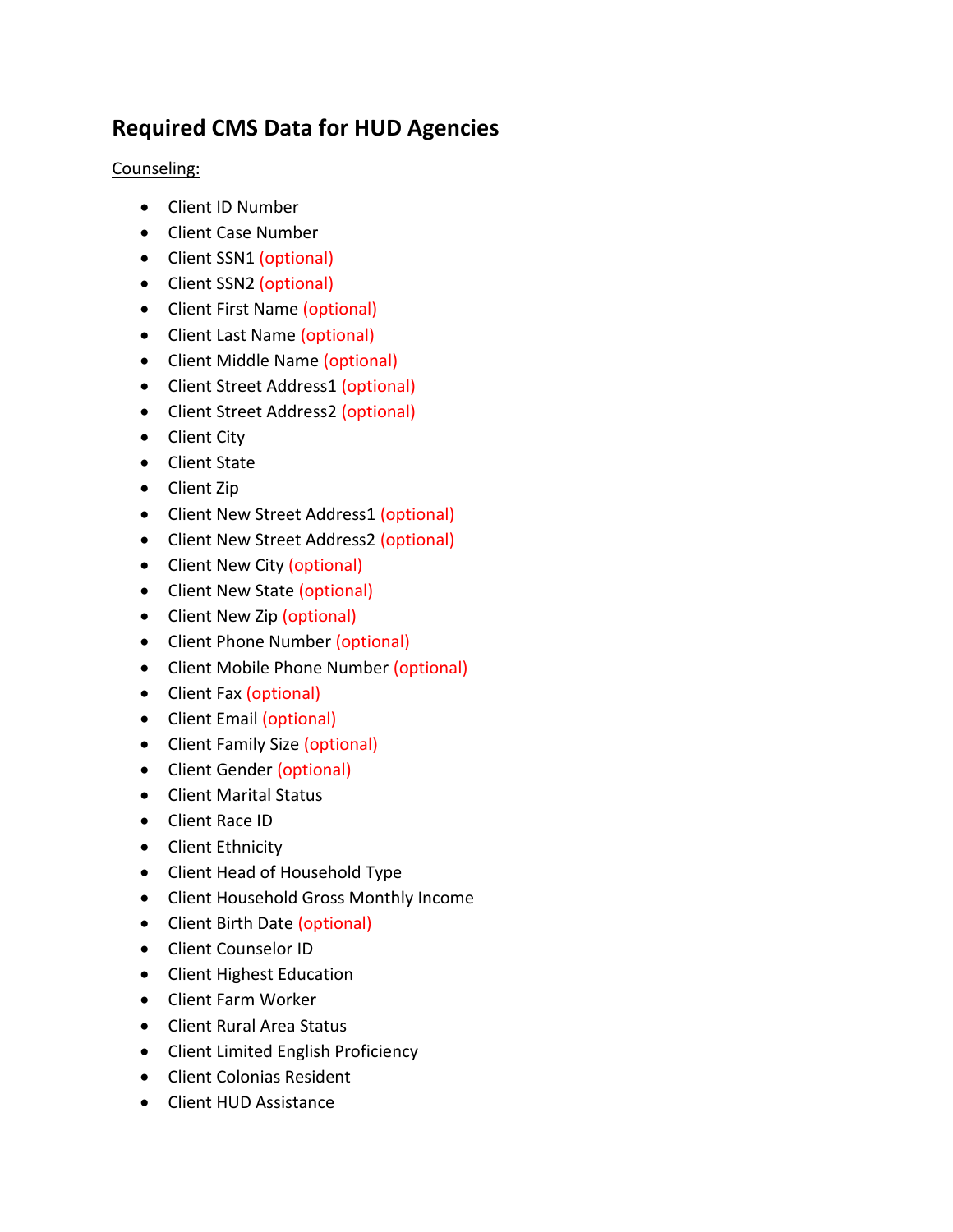## **Required CMS Data for HUD Agencies**

Counseling:

- Client ID Number
- Client Case Number
- Client SSN1 (optional)
- Client SSN2 (optional)
- Client First Name (optional)
- Client Last Name (optional)
- Client Middle Name (optional)
- Client Street Address1 (optional)
- Client Street Address2 (optional)
- Client City
- Client State
- Client Zip
- Client New Street Address1 (optional)
- Client New Street Address2 (optional)
- Client New City (optional)
- Client New State (optional)
- Client New Zip (optional)
- Client Phone Number (optional)
- Client Mobile Phone Number (optional)
- Client Fax (optional)
- Client Email (optional)
- Client Family Size (optional)
- Client Gender (optional)
- Client Marital Status
- Client Race ID
- Client Ethnicity
- Client Head of Household Type
- Client Household Gross Monthly Income
- Client Birth Date (optional)
- Client Counselor ID
- Client Highest Education
- Client Farm Worker
- Client Rural Area Status
- Client Limited English Proficiency
- Client Colonias Resident
- Client HUD Assistance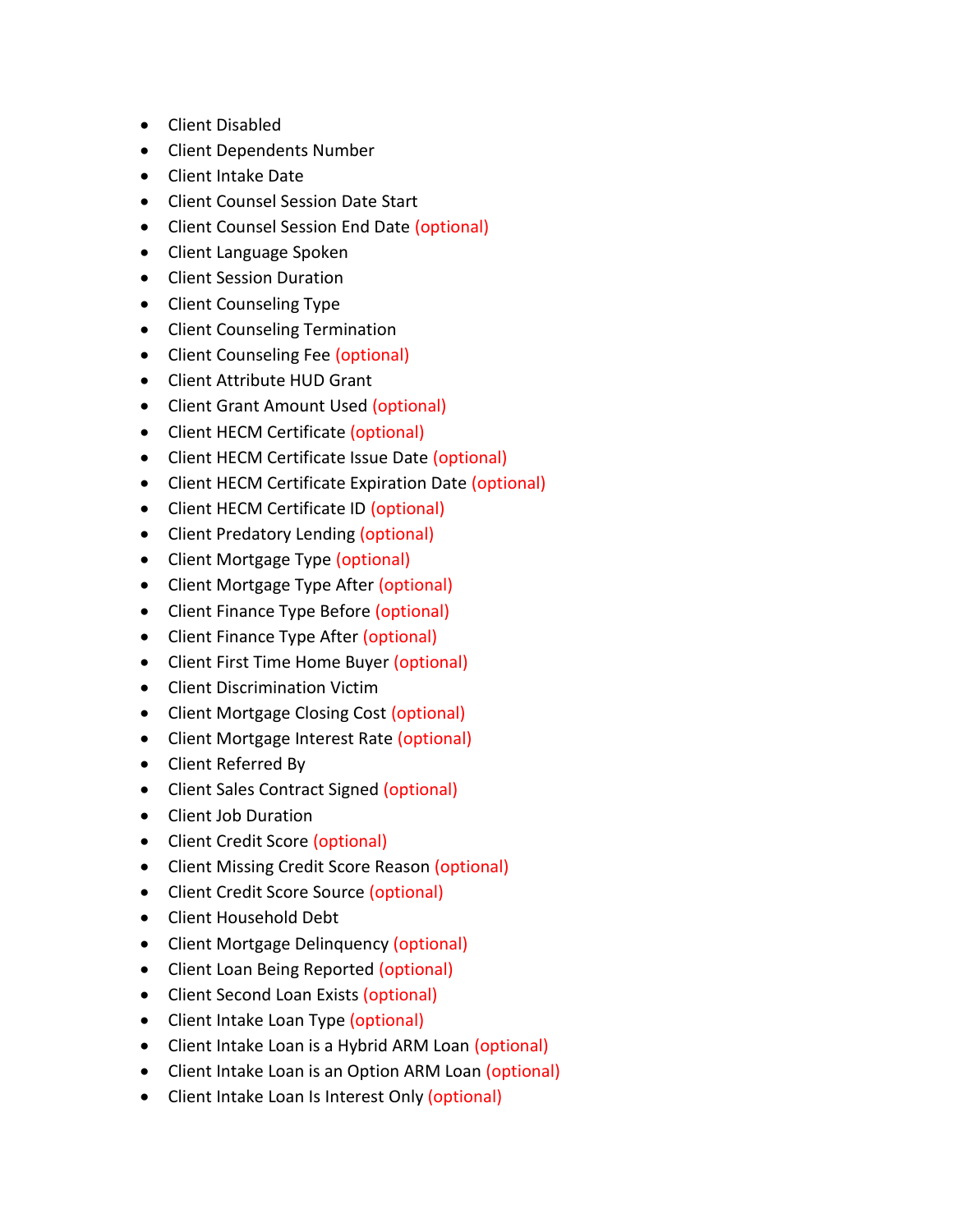- Client Disabled
- Client Dependents Number
- Client Intake Date
- Client Counsel Session Date Start
- Client Counsel Session End Date (optional)
- Client Language Spoken
- Client Session Duration
- Client Counseling Type
- Client Counseling Termination
- Client Counseling Fee (optional)
- Client Attribute HUD Grant
- Client Grant Amount Used (optional)
- Client HECM Certificate (optional)
- Client HECM Certificate Issue Date (optional)
- Client HECM Certificate Expiration Date (optional)
- Client HECM Certificate ID (optional)
- Client Predatory Lending (optional)
- Client Mortgage Type (optional)
- Client Mortgage Type After (optional)
- Client Finance Type Before (optional)
- Client Finance Type After (optional)
- Client First Time Home Buyer (optional)
- Client Discrimination Victim
- Client Mortgage Closing Cost (optional)
- Client Mortgage Interest Rate (optional)
- Client Referred By
- Client Sales Contract Signed (optional)
- Client Job Duration
- Client Credit Score (optional)
- Client Missing Credit Score Reason (optional)
- Client Credit Score Source (optional)
- Client Household Debt
- Client Mortgage Delinquency (optional)
- Client Loan Being Reported (optional)
- Client Second Loan Exists (optional)
- Client Intake Loan Type (optional)
- Client Intake Loan is a Hybrid ARM Loan (optional)
- Client Intake Loan is an Option ARM Loan (optional)
- Client Intake Loan Is Interest Only (optional)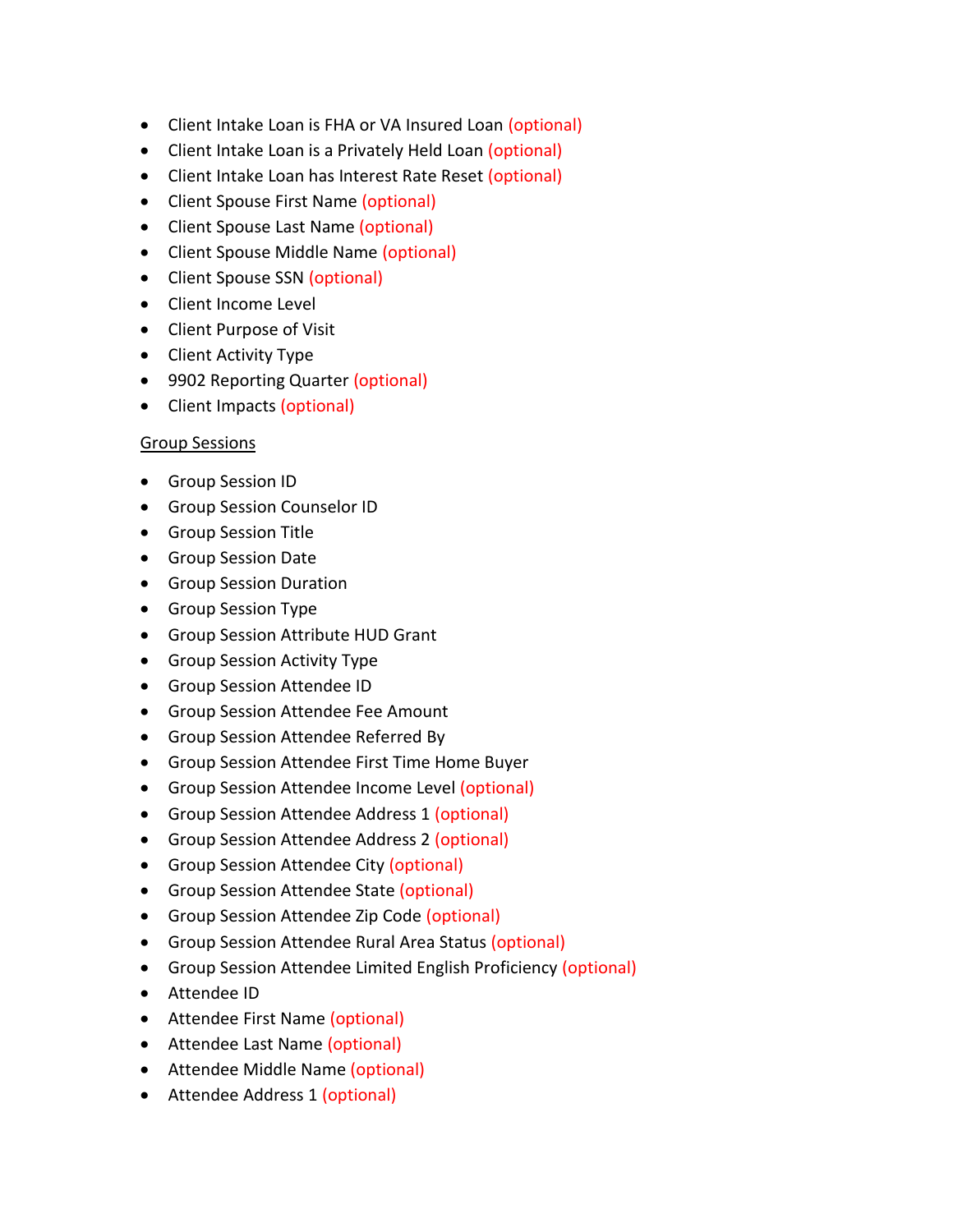- Client Intake Loan is FHA or VA Insured Loan (optional)
- Client Intake Loan is a Privately Held Loan (optional)
- Client Intake Loan has Interest Rate Reset (optional)
- Client Spouse First Name (optional)
- Client Spouse Last Name (optional)
- Client Spouse Middle Name (optional)
- Client Spouse SSN (optional)
- Client Income Level
- Client Purpose of Visit
- Client Activity Type
- 9902 Reporting Quarter (optional)
- Client Impacts (optional)

## Group Sessions

- Group Session ID
- **•** Group Session Counselor ID
- Group Session Title
- Group Session Date
- **•** Group Session Duration
- **Group Session Type**
- Group Session Attribute HUD Grant
- **•** Group Session Activity Type
- Group Session Attendee ID
- Group Session Attendee Fee Amount
- **•** Group Session Attendee Referred By
- Group Session Attendee First Time Home Buyer
- **•** Group Session Attendee Income Level (optional)
- Group Session Attendee Address 1 (optional)
- **Group Session Attendee Address 2 (optional)**
- **•** Group Session Attendee City (optional)
- **•** Group Session Attendee State (optional)
- **Group Session Attendee Zip Code (optional)**
- **•** Group Session Attendee Rural Area Status (optional)
- Group Session Attendee Limited English Proficiency (optional)
- Attendee ID
- Attendee First Name (optional)
- Attendee Last Name (optional)
- Attendee Middle Name (optional)
- Attendee Address 1 (optional)